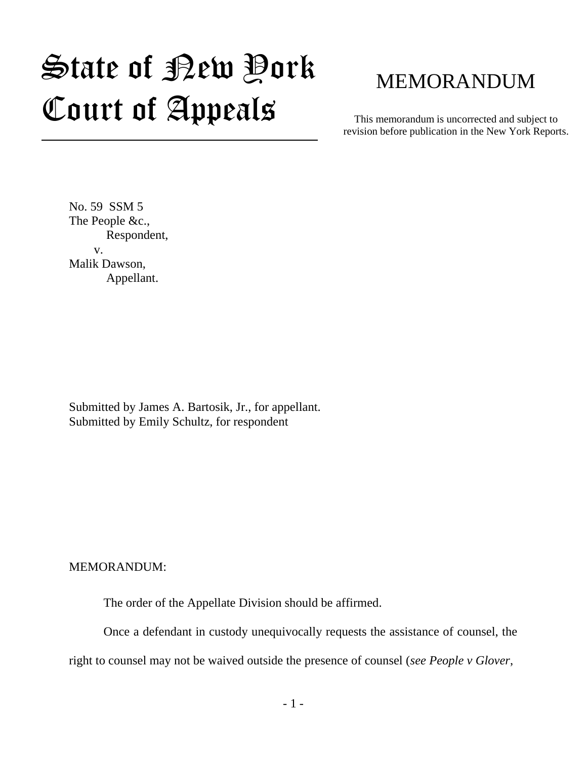# State of New York Court of Appeals

## MEMORANDUM

This memorandum is uncorrected and subject to revision before publication in the New York Reports.

No. 59 SSM 5 The People &c., Respondent, v. Malik Dawson, Appellant.

Submitted by James A. Bartosik, Jr., for appellant. Submitted by Emily Schultz, for respondent

MEMORANDUM:

The order of the Appellate Division should be affirmed.

Once a defendant in custody unequivocally requests the assistance of counsel, the right to counsel may not be waived outside the presence of counsel (*see People v Glover*,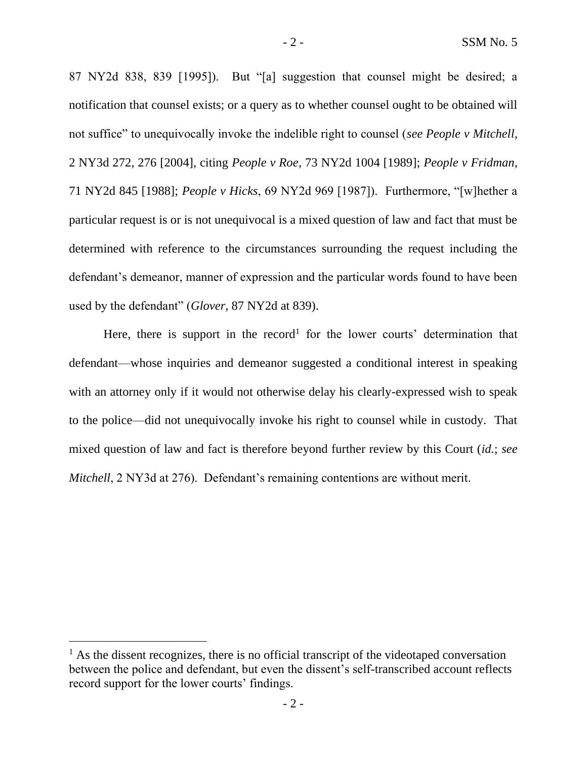87 NY2d 838, 839 [1995]). But "[a] suggestion that counsel might be desired; a notification that counsel exists; or a query as to whether counsel ought to be obtained will not suffice" to unequivocally invoke the indelible right to counsel (*see People v Mitchell*, 2 NY3d 272, 276 [2004], citing *People v Roe*, 73 NY2d 1004 [1989]; *People v Fridman*, 71 NY2d 845 [1988]; *People v Hicks*, 69 NY2d 969 [1987]). Furthermore, "[w]hether a particular request is or is not unequivocal is a mixed question of law and fact that must be determined with reference to the circumstances surrounding the request including the defendant's demeanor, manner of expression and the particular words found to have been used by the defendant" (*Glover*, 87 NY2d at 839).

Here, there is support in the record<sup>1</sup> for the lower courts' determination that defendant—whose inquiries and demeanor suggested a conditional interest in speaking with an attorney only if it would not otherwise delay his clearly-expressed wish to speak to the police—did not unequivocally invoke his right to counsel while in custody. That mixed question of law and fact is therefore beyond further review by this Court (*id.*; *see Mitchell*, 2 NY3d at 276). Defendant's remaining contentions are without merit.

 $<sup>1</sup>$  As the dissent recognizes, there is no official transcript of the videotaped conversation</sup> between the police and defendant, but even the dissent's self-transcribed account reflects record support for the lower courts' findings.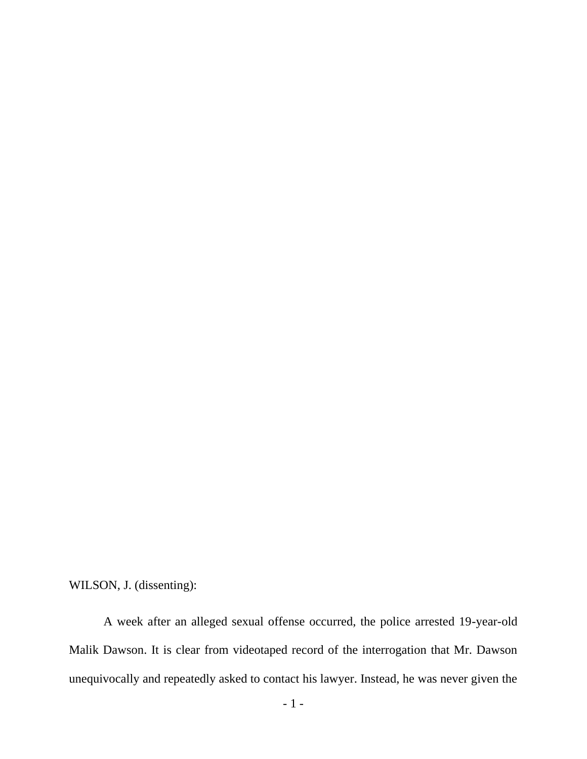WILSON, J. (dissenting):

A week after an alleged sexual offense occurred, the police arrested 19-year-old Malik Dawson. It is clear from videotaped record of the interrogation that Mr. Dawson unequivocally and repeatedly asked to contact his lawyer. Instead, he was never given the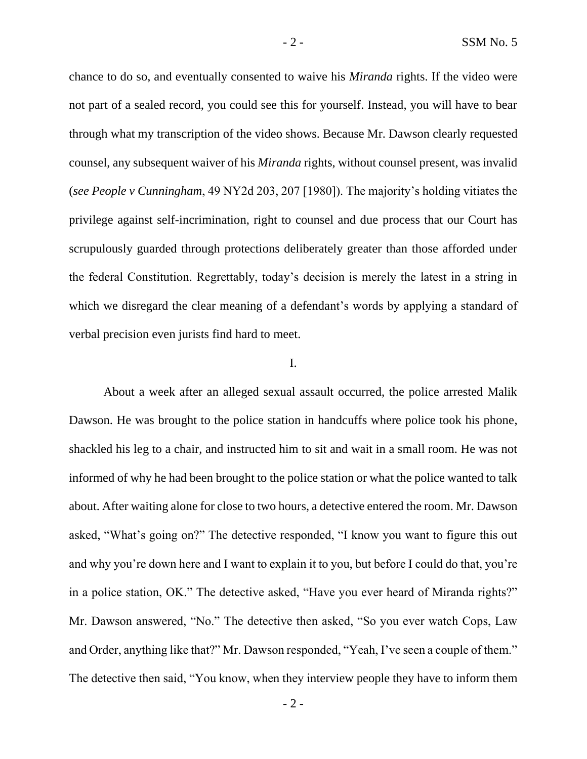chance to do so, and eventually consented to waive his *Miranda* rights. If the video were not part of a sealed record, you could see this for yourself. Instead, you will have to bear through what my transcription of the video shows. Because Mr. Dawson clearly requested counsel, any subsequent waiver of his *Miranda* rights, without counsel present, was invalid (*see People v Cunningham*, 49 NY2d 203, 207 [1980]). The majority's holding vitiates the privilege against self-incrimination, right to counsel and due process that our Court has scrupulously guarded through protections deliberately greater than those afforded under the federal Constitution. Regrettably, today's decision is merely the latest in a string in which we disregard the clear meaning of a defendant's words by applying a standard of verbal precision even jurists find hard to meet.

#### I.

About a week after an alleged sexual assault occurred, the police arrested Malik Dawson. He was brought to the police station in handcuffs where police took his phone, shackled his leg to a chair, and instructed him to sit and wait in a small room. He was not informed of why he had been brought to the police station or what the police wanted to talk about. After waiting alone for close to two hours, a detective entered the room. Mr. Dawson asked, "What's going on?" The detective responded, "I know you want to figure this out and why you're down here and I want to explain it to you, but before I could do that, you're in a police station, OK." The detective asked, "Have you ever heard of Miranda rights?" Mr. Dawson answered, "No." The detective then asked, "So you ever watch Cops, Law and Order, anything like that?" Mr. Dawson responded, "Yeah, I've seen a couple of them." The detective then said, "You know, when they interview people they have to inform them

 $-2 -$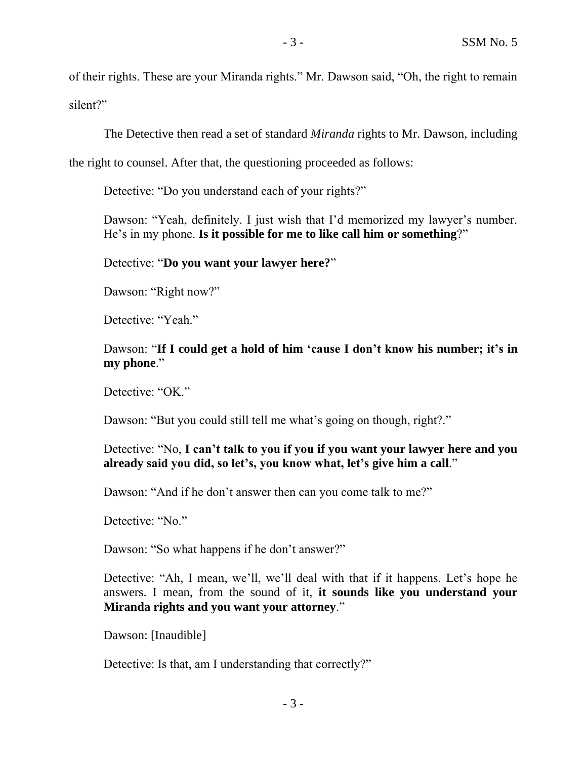of their rights. These are your Miranda rights." Mr. Dawson said, "Oh, the right to remain silent?"

The Detective then read a set of standard *Miranda* rights to Mr. Dawson, including

the right to counsel. After that, the questioning proceeded as follows:

Detective: "Do you understand each of your rights?"

Dawson: "Yeah, definitely. I just wish that I'd memorized my lawyer's number. He's in my phone. **Is it possible for me to like call him or something**?"

Detective: "**Do you want your lawyer here?**"

Dawson: "Right now?"

Detective: "Yeah."

Dawson: "**If I could get a hold of him 'cause I don't know his number; it's in my phone**."

Detective: "OK."

Dawson: "But you could still tell me what's going on though, right?."

Detective: "No, **I can't talk to you if you if you want your lawyer here and you already said you did, so let's, you know what, let's give him a call**."

Dawson: "And if he don't answer then can you come talk to me?"

Detective: "No."

Dawson: "So what happens if he don't answer?"

Detective: "Ah, I mean, we'll, we'll deal with that if it happens. Let's hope he answers. I mean, from the sound of it, **it sounds like you understand your Miranda rights and you want your attorney**."

Dawson: [Inaudible]

Detective: Is that, am I understanding that correctly?"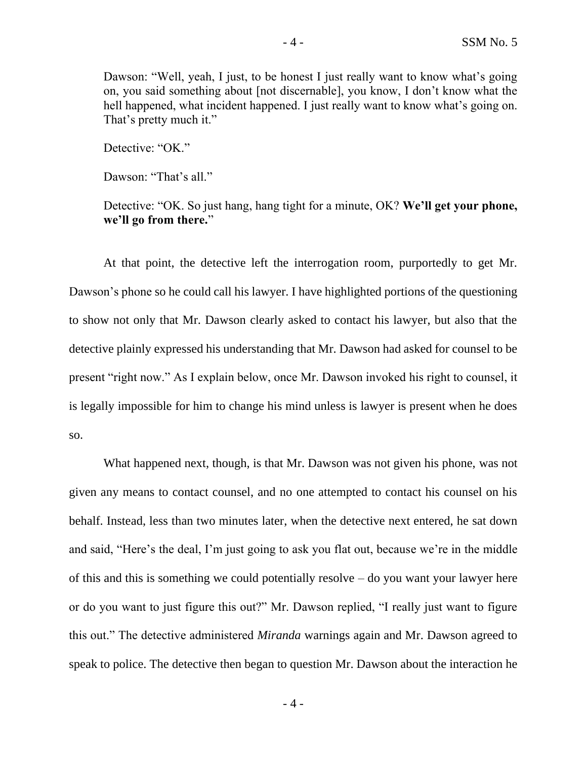Dawson: "Well, yeah, I just, to be honest I just really want to know what's going on, you said something about [not discernable], you know, I don't know what the hell happened, what incident happened. I just really want to know what's going on. That's pretty much it."

Detective: "OK."

Dawson: "That's all."

Detective: "OK. So just hang, hang tight for a minute, OK? **We'll get your phone, we'll go from there.**"

At that point, the detective left the interrogation room, purportedly to get Mr. Dawson's phone so he could call his lawyer. I have highlighted portions of the questioning to show not only that Mr. Dawson clearly asked to contact his lawyer, but also that the detective plainly expressed his understanding that Mr. Dawson had asked for counsel to be present "right now." As I explain below, once Mr. Dawson invoked his right to counsel, it is legally impossible for him to change his mind unless is lawyer is present when he does so.

What happened next, though, is that Mr. Dawson was not given his phone, was not given any means to contact counsel, and no one attempted to contact his counsel on his behalf. Instead, less than two minutes later, when the detective next entered, he sat down and said, "Here's the deal, I'm just going to ask you flat out, because we're in the middle of this and this is something we could potentially resolve – do you want your lawyer here or do you want to just figure this out?" Mr. Dawson replied, "I really just want to figure this out." The detective administered *Miranda* warnings again and Mr. Dawson agreed to speak to police. The detective then began to question Mr. Dawson about the interaction he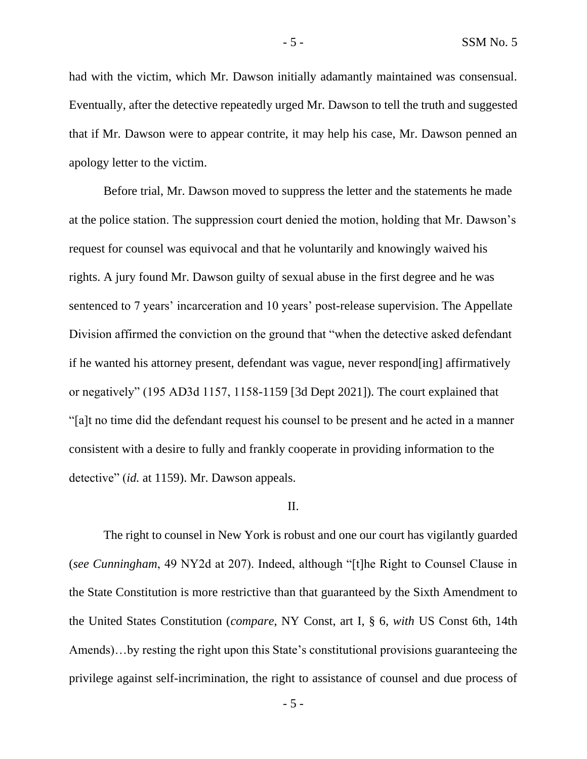had with the victim, which Mr. Dawson initially adamantly maintained was consensual. Eventually, after the detective repeatedly urged Mr. Dawson to tell the truth and suggested that if Mr. Dawson were to appear contrite, it may help his case, Mr. Dawson penned an apology letter to the victim.

Before trial, Mr. Dawson moved to suppress the letter and the statements he made at the police station. The suppression court denied the motion, holding that Mr. Dawson's request for counsel was equivocal and that he voluntarily and knowingly waived his rights. A jury found Mr. Dawson guilty of sexual abuse in the first degree and he was sentenced to 7 years' incarceration and 10 years' post-release supervision. The Appellate Division affirmed the conviction on the ground that "when the detective asked defendant if he wanted his attorney present, defendant was vague, never respond[ing] affirmatively or negatively" (195 AD3d 1157, 1158-1159 [3d Dept 2021]). The court explained that "[a]t no time did the defendant request his counsel to be present and he acted in a manner consistent with a desire to fully and frankly cooperate in providing information to the detective" (*id.* at 1159). Mr. Dawson appeals.

#### II.

The right to counsel in New York is robust and one our court has vigilantly guarded (*see Cunningham*, 49 NY2d at 207). Indeed, although "[t]he Right to Counsel Clause in the State Constitution is more restrictive than that guaranteed by the Sixth Amendment to the United States Constitution (*compare*, NY Const, art I, § 6, *with* US Const 6th, 14th Amends)…by resting the right upon this State's constitutional provisions guaranteeing the privilege against self-incrimination, the right to assistance of counsel and due process of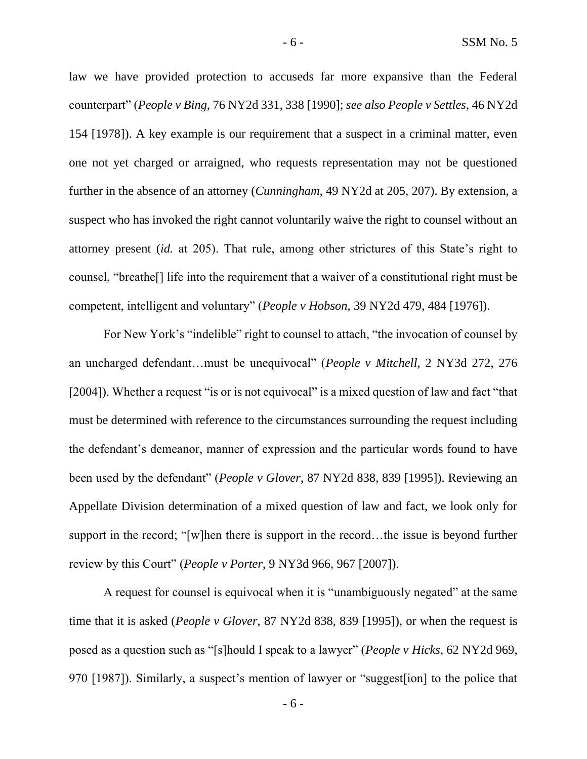law we have provided protection to accuseds far more expansive than the Federal counterpart" (*People v Bing*, 76 NY2d 331, 338 [1990]; *see also People v Settles*, 46 NY2d 154 [1978]). A key example is our requirement that a suspect in a criminal matter, even one not yet charged or arraigned, who requests representation may not be questioned further in the absence of an attorney (*Cunningham*, 49 NY2d at 205, 207). By extension, a suspect who has invoked the right cannot voluntarily waive the right to counsel without an attorney present (*id.* at 205). That rule, among other strictures of this State's right to counsel, "breathe[] life into the requirement that a waiver of a constitutional right must be competent, intelligent and voluntary" (*People v Hobson,* 39 NY2d 479, 484 [1976]).

For New York's "indelible" right to counsel to attach, "the invocation of counsel by an uncharged defendant…must be unequivocal" (*People v Mitchell*, 2 NY3d 272, 276 [2004]). Whether a request "is or is not equivocal" is a mixed question of law and fact "that must be determined with reference to the circumstances surrounding the request including the defendant's demeanor, manner of expression and the particular words found to have been used by the defendant" (*People v Glover*, 87 NY2d 838, 839 [1995]). Reviewing an Appellate Division determination of a mixed question of law and fact, we look only for support in the record; "[w]hen there is support in the record…the issue is beyond further review by this Court" (*People v Porter*, 9 NY3d 966, 967 [2007]).

A request for counsel is equivocal when it is "unambiguously negated" at the same time that it is asked (*People v Glover*, 87 NY2d 838, 839 [1995]), or when the request is posed as a question such as "[s]hould I speak to a lawyer" (*People v Hicks*, 62 NY2d 969, 970 [1987]). Similarly, a suspect's mention of lawyer or "suggest[ion] to the police that

- 6 -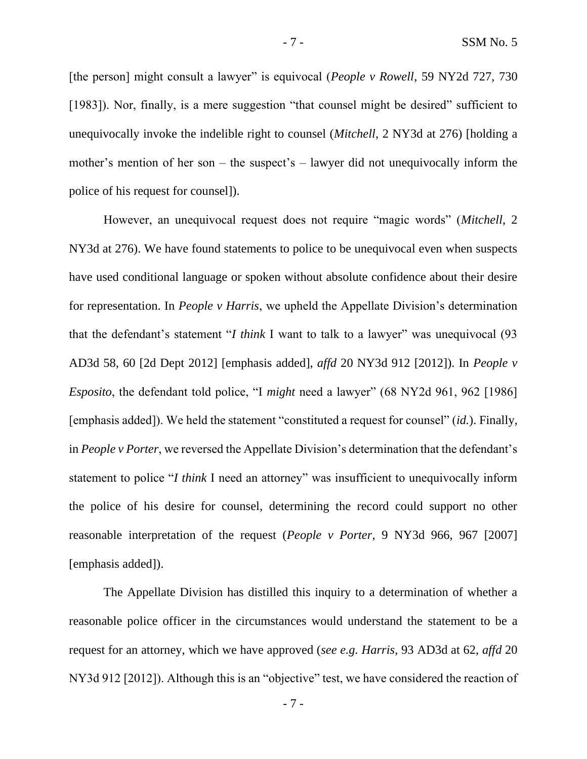[the person] might consult a lawyer" is equivocal (*People v Rowell*, 59 NY2d 727, 730 [1983]). Nor, finally, is a mere suggestion "that counsel might be desired" sufficient to unequivocally invoke the indelible right to counsel (*Mitchell*, 2 NY3d at 276) [holding a mother's mention of her son – the suspect's – lawyer did not unequivocally inform the police of his request for counsel]).

However, an unequivocal request does not require "magic words" (*Mitchell*, 2 NY3d at 276). We have found statements to police to be unequivocal even when suspects have used conditional language or spoken without absolute confidence about their desire for representation. In *People v Harris*, we upheld the Appellate Division's determination that the defendant's statement "*I think* I want to talk to a lawyer" was unequivocal (93 AD3d 58, 60 [2d Dept 2012] [emphasis added], *affd* 20 NY3d 912 [2012]). In *People v Esposito*, the defendant told police, "I *might* need a lawyer" (68 NY2d 961, 962 [1986] [emphasis added]). We held the statement "constituted a request for counsel" (*id.*). Finally, in *People v Porter*, we reversed the Appellate Division's determination that the defendant's statement to police "*I think* I need an attorney" was insufficient to unequivocally inform the police of his desire for counsel, determining the record could support no other reasonable interpretation of the request (*People v Porter*, 9 NY3d 966, 967 [2007] [emphasis added]).

The Appellate Division has distilled this inquiry to a determination of whether a reasonable police officer in the circumstances would understand the statement to be a request for an attorney, which we have approved (*see e.g. Harris*, 93 AD3d at 62, *affd* 20 NY3d 912 [2012]). Although this is an "objective" test, we have considered the reaction of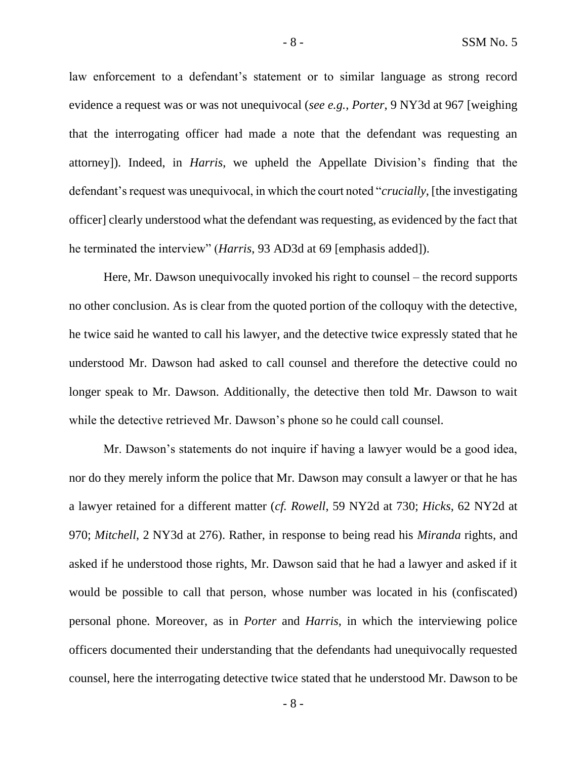law enforcement to a defendant's statement or to similar language as strong record evidence a request was or was not unequivocal (*see e.g.*, *Porter*, 9 NY3d at 967 [weighing that the interrogating officer had made a note that the defendant was requesting an attorney]). Indeed, in *Harris*, we upheld the Appellate Division's finding that the defendant's request was unequivocal, in which the court noted "*crucially*, [the investigating officer] clearly understood what the defendant was requesting, as evidenced by the fact that he terminated the interview" (*Harris*, 93 AD3d at 69 [emphasis added]).

Here, Mr. Dawson unequivocally invoked his right to counsel – the record supports no other conclusion. As is clear from the quoted portion of the colloquy with the detective, he twice said he wanted to call his lawyer, and the detective twice expressly stated that he understood Mr. Dawson had asked to call counsel and therefore the detective could no longer speak to Mr. Dawson. Additionally, the detective then told Mr. Dawson to wait while the detective retrieved Mr. Dawson's phone so he could call counsel.

Mr. Dawson's statements do not inquire if having a lawyer would be a good idea, nor do they merely inform the police that Mr. Dawson may consult a lawyer or that he has a lawyer retained for a different matter (*cf. Rowell*, 59 NY2d at 730; *Hicks*, 62 NY2d at 970; *Mitchell*, 2 NY3d at 276). Rather, in response to being read his *Miranda* rights, and asked if he understood those rights, Mr. Dawson said that he had a lawyer and asked if it would be possible to call that person, whose number was located in his (confiscated) personal phone. Moreover, as in *Porter* and *Harris*, in which the interviewing police officers documented their understanding that the defendants had unequivocally requested counsel, here the interrogating detective twice stated that he understood Mr. Dawson to be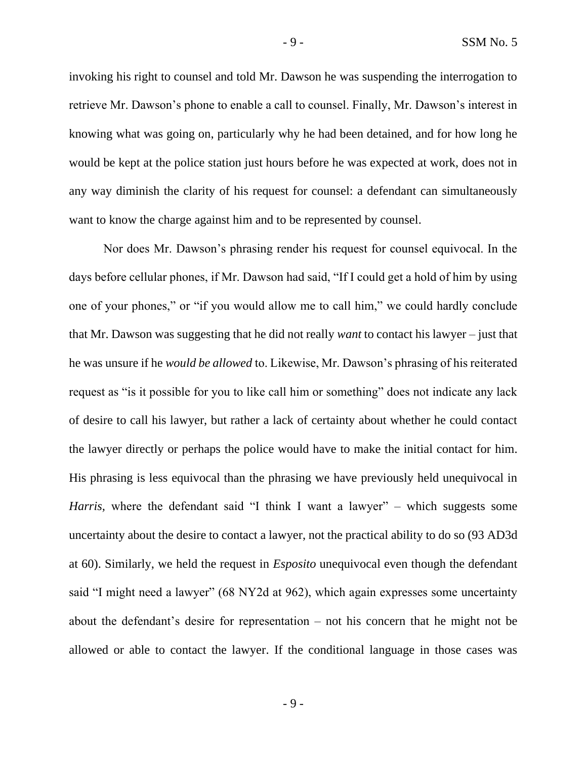invoking his right to counsel and told Mr. Dawson he was suspending the interrogation to retrieve Mr. Dawson's phone to enable a call to counsel. Finally, Mr. Dawson's interest in knowing what was going on, particularly why he had been detained, and for how long he would be kept at the police station just hours before he was expected at work, does not in any way diminish the clarity of his request for counsel: a defendant can simultaneously want to know the charge against him and to be represented by counsel.

Nor does Mr. Dawson's phrasing render his request for counsel equivocal. In the days before cellular phones, if Mr. Dawson had said, "If I could get a hold of him by using one of your phones," or "if you would allow me to call him," we could hardly conclude that Mr. Dawson was suggesting that he did not really *want* to contact his lawyer – just that he was unsure if he *would be allowed* to. Likewise, Mr. Dawson's phrasing of his reiterated request as "is it possible for you to like call him or something" does not indicate any lack of desire to call his lawyer, but rather a lack of certainty about whether he could contact the lawyer directly or perhaps the police would have to make the initial contact for him. His phrasing is less equivocal than the phrasing we have previously held unequivocal in *Harris*, where the defendant said "I think I want a lawyer" – which suggests some uncertainty about the desire to contact a lawyer, not the practical ability to do so (93 AD3d at 60). Similarly, we held the request in *Esposito* unequivocal even though the defendant said "I might need a lawyer" (68 NY2d at 962), which again expresses some uncertainty about the defendant's desire for representation – not his concern that he might not be allowed or able to contact the lawyer. If the conditional language in those cases was

 $-9 -$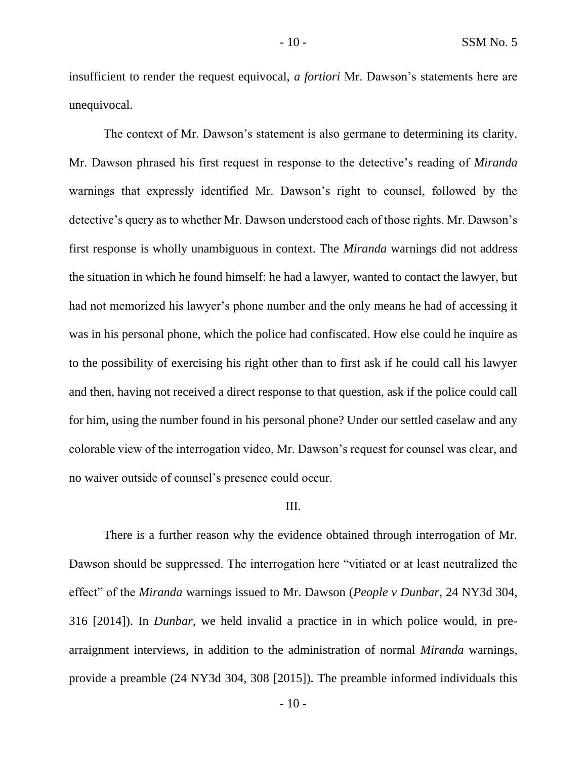insufficient to render the request equivocal, *a fortiori* Mr. Dawson's statements here are unequivocal.

The context of Mr. Dawson's statement is also germane to determining its clarity. Mr. Dawson phrased his first request in response to the detective's reading of *Miranda* warnings that expressly identified Mr. Dawson's right to counsel, followed by the detective's query as to whether Mr. Dawson understood each of those rights. Mr. Dawson's first response is wholly unambiguous in context. The *Miranda* warnings did not address the situation in which he found himself: he had a lawyer, wanted to contact the lawyer, but had not memorized his lawyer's phone number and the only means he had of accessing it was in his personal phone, which the police had confiscated. How else could he inquire as to the possibility of exercising his right other than to first ask if he could call his lawyer and then, having not received a direct response to that question, ask if the police could call for him, using the number found in his personal phone? Under our settled caselaw and any colorable view of the interrogation video, Mr. Dawson's request for counsel was clear, and no waiver outside of counsel's presence could occur.

#### III.

There is a further reason why the evidence obtained through interrogation of Mr. Dawson should be suppressed. The interrogation here "vitiated or at least neutralized the effect" of the *Miranda* warnings issued to Mr. Dawson (*People v Dunbar*, 24 NY3d 304, 316 [2014]). In *Dunbar*, we held invalid a practice in in which police would, in prearraignment interviews, in addition to the administration of normal *Miranda* warnings, provide a preamble (24 NY3d 304, 308 [2015]). The preamble informed individuals this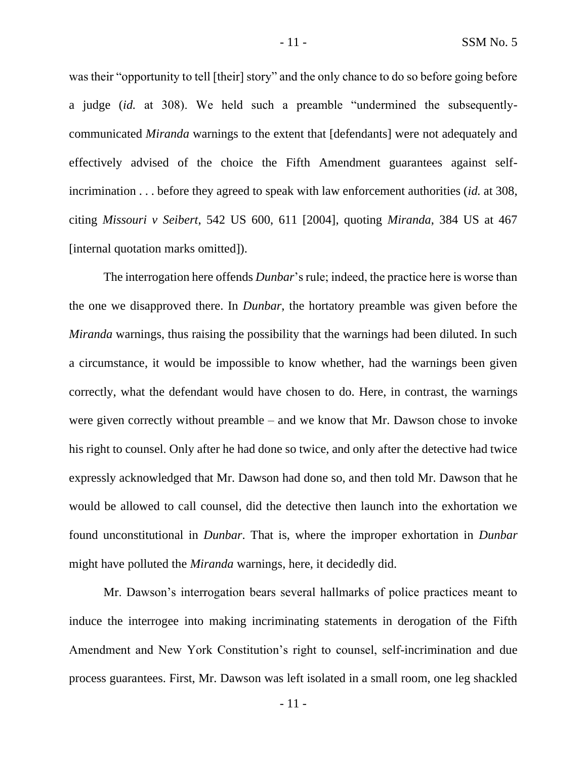was their "opportunity to tell [their] story" and the only chance to do so before going before a judge (*id.* at 308). We held such a preamble "undermined the subsequentlycommunicated *Miranda* warnings to the extent that [defendants] were not adequately and effectively advised of the choice the Fifth Amendment guarantees against selfincrimination . . . before they agreed to speak with law enforcement authorities (*id.* at 308, citing *Missouri v Seibert*, 542 US 600, 611 [2004], quoting *Miranda*, 384 US at 467 [internal quotation marks omitted]).

The interrogation here offends *Dunbar*'s rule; indeed, the practice here is worse than the one we disapproved there. In *Dunbar*, the hortatory preamble was given before the *Miranda* warnings, thus raising the possibility that the warnings had been diluted. In such a circumstance, it would be impossible to know whether, had the warnings been given correctly, what the defendant would have chosen to do. Here, in contrast, the warnings were given correctly without preamble – and we know that Mr. Dawson chose to invoke his right to counsel. Only after he had done so twice, and only after the detective had twice expressly acknowledged that Mr. Dawson had done so, and then told Mr. Dawson that he would be allowed to call counsel, did the detective then launch into the exhortation we found unconstitutional in *Dunbar*. That is, where the improper exhortation in *Dunbar* might have polluted the *Miranda* warnings, here, it decidedly did.

Mr. Dawson's interrogation bears several hallmarks of police practices meant to induce the interrogee into making incriminating statements in derogation of the Fifth Amendment and New York Constitution's right to counsel, self-incrimination and due process guarantees. First, Mr. Dawson was left isolated in a small room, one leg shackled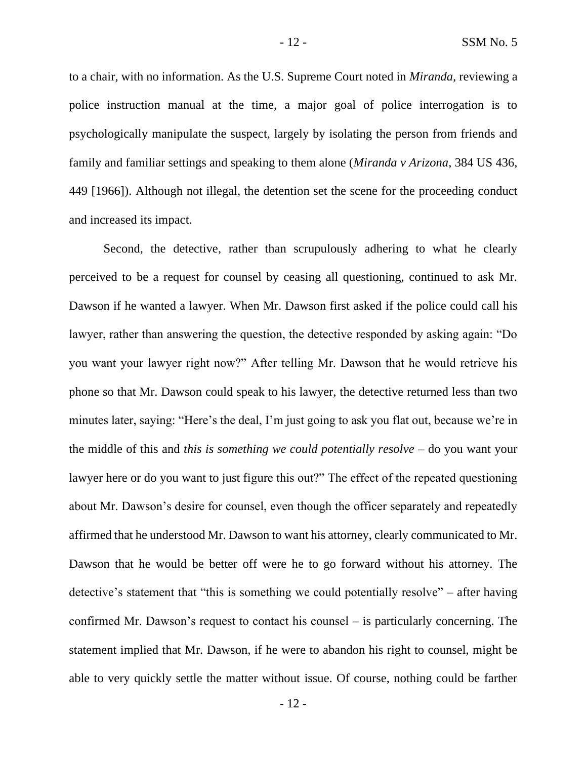to a chair, with no information. As the U.S. Supreme Court noted in *Miranda,* reviewing a police instruction manual at the time, a major goal of police interrogation is to psychologically manipulate the suspect, largely by isolating the person from friends and family and familiar settings and speaking to them alone (*Miranda v Arizona*, 384 US 436, 449 [1966]). Although not illegal, the detention set the scene for the proceeding conduct and increased its impact.

Second, the detective, rather than scrupulously adhering to what he clearly perceived to be a request for counsel by ceasing all questioning, continued to ask Mr. Dawson if he wanted a lawyer. When Mr. Dawson first asked if the police could call his lawyer, rather than answering the question, the detective responded by asking again: "Do you want your lawyer right now?" After telling Mr. Dawson that he would retrieve his phone so that Mr. Dawson could speak to his lawyer, the detective returned less than two minutes later, saying: "Here's the deal, I'm just going to ask you flat out, because we're in the middle of this and *this is something we could potentially resolve* – do you want your lawyer here or do you want to just figure this out?" The effect of the repeated questioning about Mr. Dawson's desire for counsel, even though the officer separately and repeatedly affirmed that he understood Mr. Dawson to want his attorney, clearly communicated to Mr. Dawson that he would be better off were he to go forward without his attorney. The detective's statement that "this is something we could potentially resolve" – after having confirmed Mr. Dawson's request to contact his counsel – is particularly concerning. The statement implied that Mr. Dawson, if he were to abandon his right to counsel, might be able to very quickly settle the matter without issue. Of course, nothing could be farther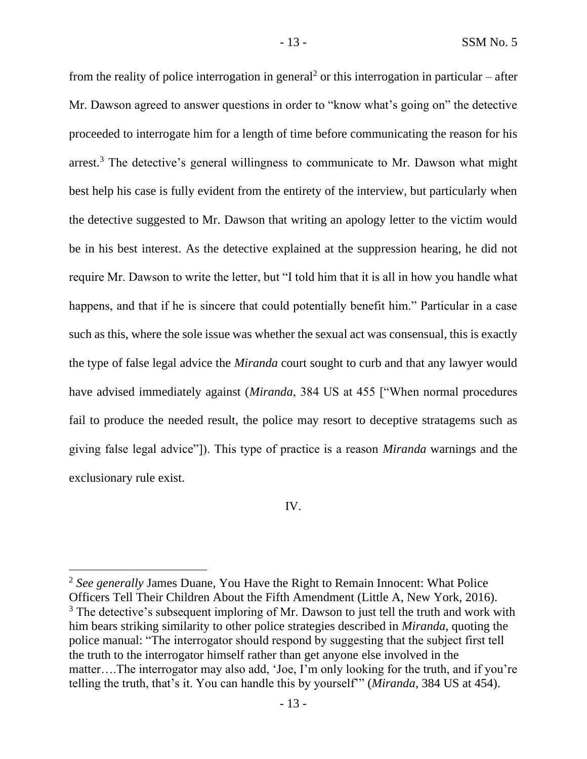from the reality of police interrogation in general<sup>2</sup> or this interrogation in particular – after Mr. Dawson agreed to answer questions in order to "know what's going on" the detective proceeded to interrogate him for a length of time before communicating the reason for his arrest.<sup>3</sup> The detective's general willingness to communicate to Mr. Dawson what might best help his case is fully evident from the entirety of the interview, but particularly when the detective suggested to Mr. Dawson that writing an apology letter to the victim would be in his best interest. As the detective explained at the suppression hearing, he did not require Mr. Dawson to write the letter, but "I told him that it is all in how you handle what happens, and that if he is sincere that could potentially benefit him." Particular in a case such as this, where the sole issue was whether the sexual act was consensual, this is exactly the type of false legal advice the *Miranda* court sought to curb and that any lawyer would have advised immediately against (*Miranda*, 384 US at 455 ["When normal procedures fail to produce the needed result, the police may resort to deceptive stratagems such as giving false legal advice"]). This type of practice is a reason *Miranda* warnings and the exclusionary rule exist.

### IV.

<sup>2</sup> *See generally* James Duane, You Have the Right to Remain Innocent: What Police Officers Tell Their Children About the Fifth Amendment (Little A, New York, 2016).  $3$  The detective's subsequent imploring of Mr. Dawson to just tell the truth and work with him bears striking similarity to other police strategies described in *Miranda*, quoting the police manual: "The interrogator should respond by suggesting that the subject first tell the truth to the interrogator himself rather than get anyone else involved in the matter….The interrogator may also add, 'Joe, I'm only looking for the truth, and if you're telling the truth, that's it. You can handle this by yourself'" (*Miranda*, 384 US at 454).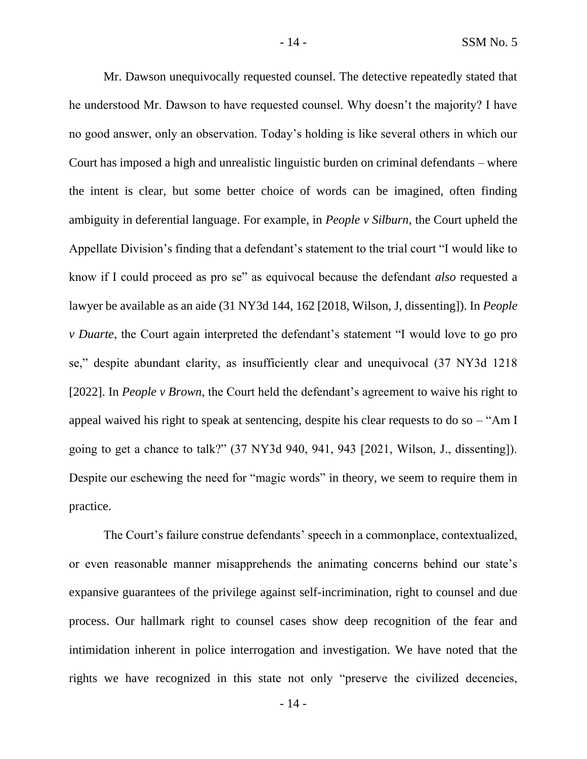Mr. Dawson unequivocally requested counsel. The detective repeatedly stated that he understood Mr. Dawson to have requested counsel. Why doesn't the majority? I have no good answer, only an observation. Today's holding is like several others in which our Court has imposed a high and unrealistic linguistic burden on criminal defendants – where the intent is clear, but some better choice of words can be imagined, often finding ambiguity in deferential language. For example, in *People v Silburn*, the Court upheld the Appellate Division's finding that a defendant's statement to the trial court "I would like to know if I could proceed as pro se" as equivocal because the defendant *also* requested a lawyer be available as an aide (31 NY3d 144, 162 [2018, Wilson, J, dissenting]). In *People v Duarte*, the Court again interpreted the defendant's statement "I would love to go pro se," despite abundant clarity, as insufficiently clear and unequivocal (37 NY3d 1218 [2022]. In *People v Brown*, the Court held the defendant's agreement to waive his right to appeal waived his right to speak at sentencing, despite his clear requests to do so – "Am I going to get a chance to talk?" (37 NY3d 940, 941, 943 [2021, Wilson, J., dissenting]). Despite our eschewing the need for "magic words" in theory, we seem to require them in practice.

The Court's failure construe defendants' speech in a commonplace, contextualized, or even reasonable manner misapprehends the animating concerns behind our state's expansive guarantees of the privilege against self-incrimination, right to counsel and due process. Our hallmark right to counsel cases show deep recognition of the fear and intimidation inherent in police interrogation and investigation. We have noted that the rights we have recognized in this state not only "preserve the civilized decencies,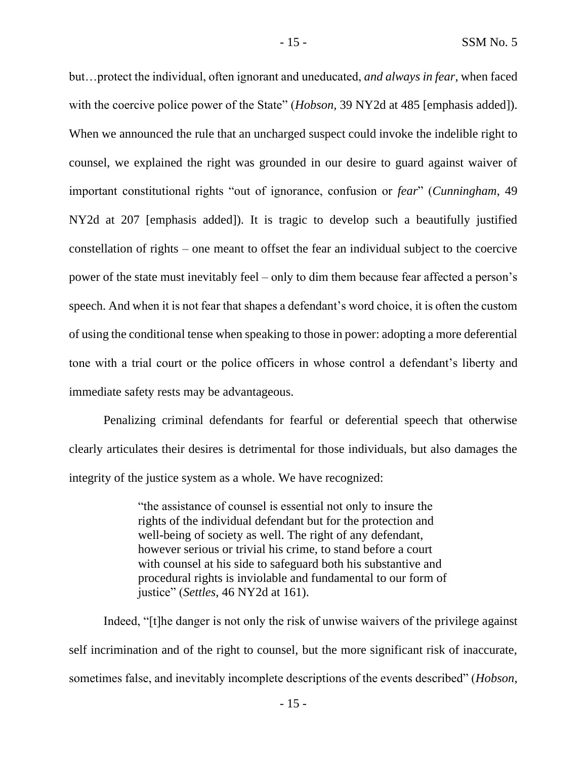but…protect the individual, often ignorant and uneducated, *and always in fear*, when faced with the coercive police power of the State" *(Hobson,* 39 NY2d at 485 [emphasis added]). When we announced the rule that an uncharged suspect could invoke the indelible right to counsel, we explained the right was grounded in our desire to guard against waiver of important constitutional rights "out of ignorance, confusion or *fear*" (*Cunningham*, 49 NY2d at 207 [emphasis added]). It is tragic to develop such a beautifully justified constellation of rights – one meant to offset the fear an individual subject to the coercive power of the state must inevitably feel – only to dim them because fear affected a person's speech. And when it is not fear that shapes a defendant's word choice, it is often the custom of using the conditional tense when speaking to those in power: adopting a more deferential tone with a trial court or the police officers in whose control a defendant's liberty and immediate safety rests may be advantageous.

Penalizing criminal defendants for fearful or deferential speech that otherwise clearly articulates their desires is detrimental for those individuals, but also damages the integrity of the justice system as a whole. We have recognized:

> "the assistance of counsel is essential not only to insure the rights of the individual defendant but for the protection and well-being of society as well. The right of any defendant, however serious or trivial his crime, to stand before a court with counsel at his side to safeguard both his substantive and procedural rights is inviolable and fundamental to our form of justice" (*Settles*, 46 NY2d at 161).

Indeed, "[t]he danger is not only the risk of unwise waivers of the privilege against self incrimination and of the right to counsel, but the more significant risk of inaccurate, sometimes false, and inevitably incomplete descriptions of the events described" (*Hobson*,